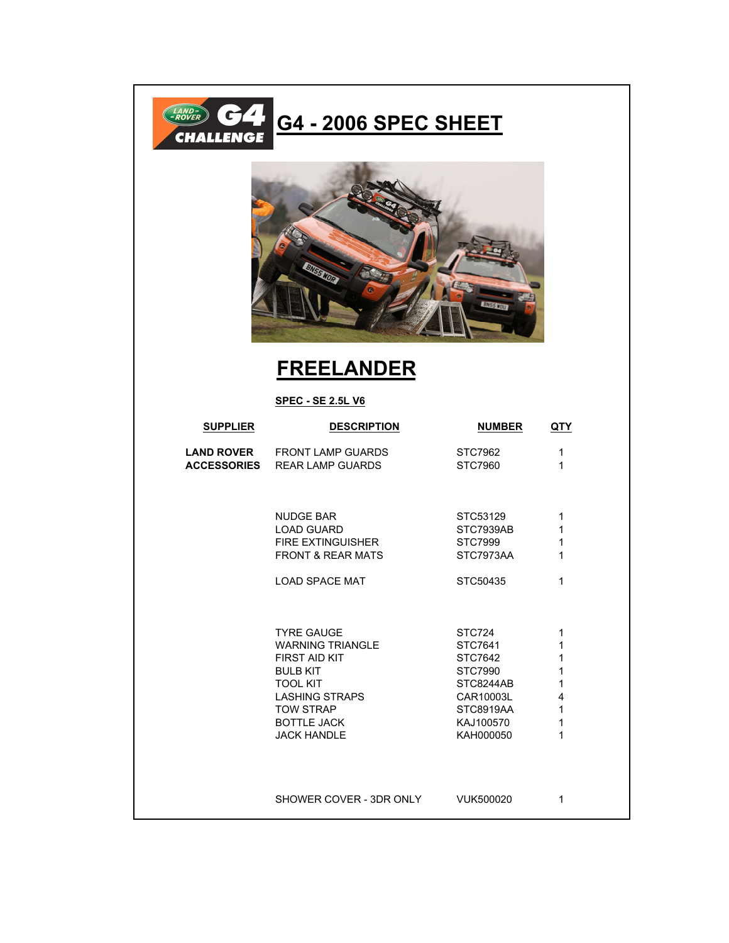

## **FREELANDER**

## **SPEC - SE 2.5L V6**

| <b>SUPPLIER</b>    | <b>DESCRIPTION</b>           | <b>NUMBER</b>    | QTY          |
|--------------------|------------------------------|------------------|--------------|
| <b>LAND ROVER</b>  | <b>FRONT LAMP GUARDS</b>     | STC7962          | 1            |
| <b>ACCESSORIES</b> | <b>REAR LAMP GUARDS</b>      | STC7960          | 1            |
|                    | <b>NUDGE BAR</b>             | STC53129         | 1            |
|                    | <b>LOAD GUARD</b>            | STC7939AB        | 1            |
|                    | <b>FIRE EXTINGUISHER</b>     | STC7999          | 1            |
|                    | <b>FRONT &amp; REAR MATS</b> | STC7973AA        | 1            |
|                    | <b>LOAD SPACE MAT</b>        | STC50435         | 1            |
|                    | <b>TYRE GAUGE</b>            | STC724           | 1            |
|                    | <b>WARNING TRIANGLE</b>      | STC7641          | 1            |
|                    | <b>FIRST AID KIT</b>         | STC7642          | 1            |
|                    | <b>BULB KIT</b>              | STC7990          | 1            |
|                    | <b>TOOL KIT</b>              | STC8244AB        | $\mathbf{1}$ |
|                    | <b>LASHING STRAPS</b>        | CAR10003L        | 4            |
|                    | <b>TOW STRAP</b>             | <b>STC8919AA</b> | 1            |
|                    | <b>BOTTLE JACK</b>           | KAJ100570        | 1            |
|                    | <b>JACK HANDLE</b>           | KAH000050        | 1            |
|                    | SHOWER COVER - 3DR ONLY      | VUK500020        | 1            |